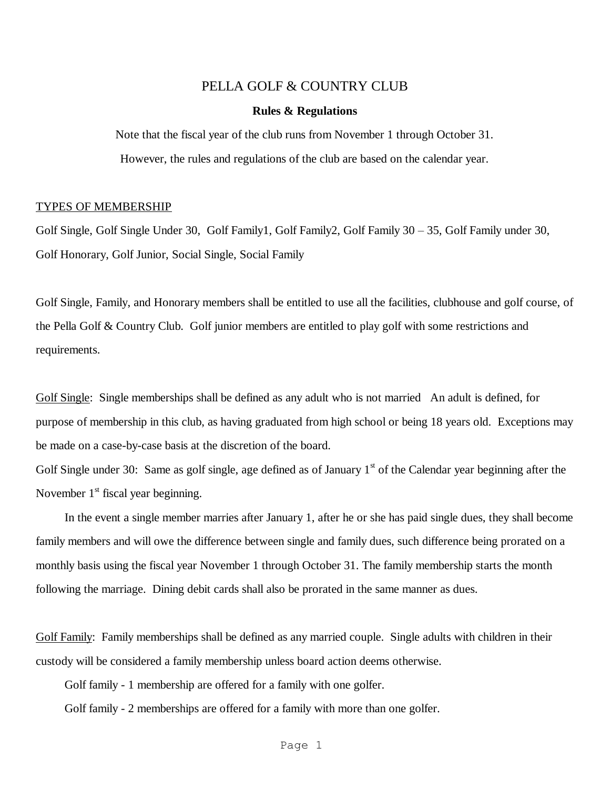# PELLA GOLF & COUNTRY CLUB

#### **Rules & Regulations**

Note that the fiscal year of the club runs from November 1 through October 31. However, the rules and regulations of the club are based on the calendar year.

#### TYPES OF MEMBERSHIP

Golf Single, Golf Single Under 30, Golf Family1, Golf Family2, Golf Family 30 – 35, Golf Family under 30, Golf Honorary, Golf Junior, Social Single, Social Family

Golf Single, Family, and Honorary members shall be entitled to use all the facilities, clubhouse and golf course, of the Pella Golf & Country Club. Golf junior members are entitled to play golf with some restrictions and requirements.

Golf Single: Single memberships shall be defined as any adult who is not married An adult is defined, for purpose of membership in this club, as having graduated from high school or being 18 years old. Exceptions may be made on a case-by-case basis at the discretion of the board.

Golf Single under 30: Same as golf single, age defined as of January  $1<sup>st</sup>$  of the Calendar year beginning after the November  $1<sup>st</sup>$  fiscal year beginning.

In the event a single member marries after January 1, after he or she has paid single dues, they shall become family members and will owe the difference between single and family dues, such difference being prorated on a monthly basis using the fiscal year November 1 through October 31. The family membership starts the month following the marriage. Dining debit cards shall also be prorated in the same manner as dues.

Golf Family: Family memberships shall be defined as any married couple. Single adults with children in their custody will be considered a family membership unless board action deems otherwise.

Golf family - 1 membership are offered for a family with one golfer.

Golf family - 2 memberships are offered for a family with more than one golfer.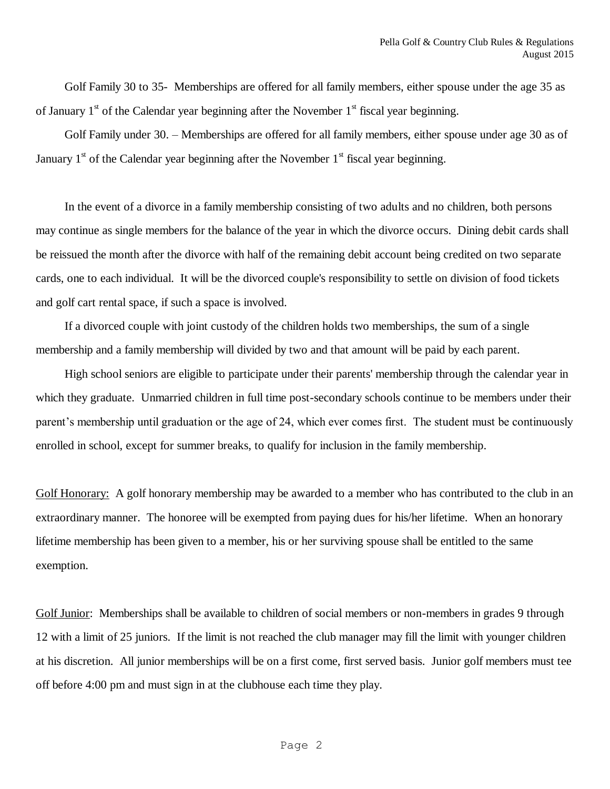Golf Family 30 to 35- Memberships are offered for all family members, either spouse under the age 35 as of January  $1<sup>st</sup>$  of the Calendar year beginning after the November  $1<sup>st</sup>$  fiscal year beginning.

Golf Family under 30. – Memberships are offered for all family members, either spouse under age 30 as of January  $1<sup>st</sup>$  of the Calendar year beginning after the November  $1<sup>st</sup>$  fiscal year beginning.

In the event of a divorce in a family membership consisting of two adults and no children, both persons may continue as single members for the balance of the year in which the divorce occurs. Dining debit cards shall be reissued the month after the divorce with half of the remaining debit account being credited on two separate cards, one to each individual. It will be the divorced couple's responsibility to settle on division of food tickets and golf cart rental space, if such a space is involved.

If a divorced couple with joint custody of the children holds two memberships, the sum of a single membership and a family membership will divided by two and that amount will be paid by each parent.

High school seniors are eligible to participate under their parents' membership through the calendar year in which they graduate. Unmarried children in full time post-secondary schools continue to be members under their parent's membership until graduation or the age of 24, which ever comes first. The student must be continuously enrolled in school, except for summer breaks, to qualify for inclusion in the family membership.

Golf Honorary: A golf honorary membership may be awarded to a member who has contributed to the club in an extraordinary manner. The honoree will be exempted from paying dues for his/her lifetime. When an honorary lifetime membership has been given to a member, his or her surviving spouse shall be entitled to the same exemption.

Golf Junior: Memberships shall be available to children of social members or non-members in grades 9 through 12 with a limit of 25 juniors. If the limit is not reached the club manager may fill the limit with younger children at his discretion. All junior memberships will be on a first come, first served basis. Junior golf members must tee off before 4:00 pm and must sign in at the clubhouse each time they play.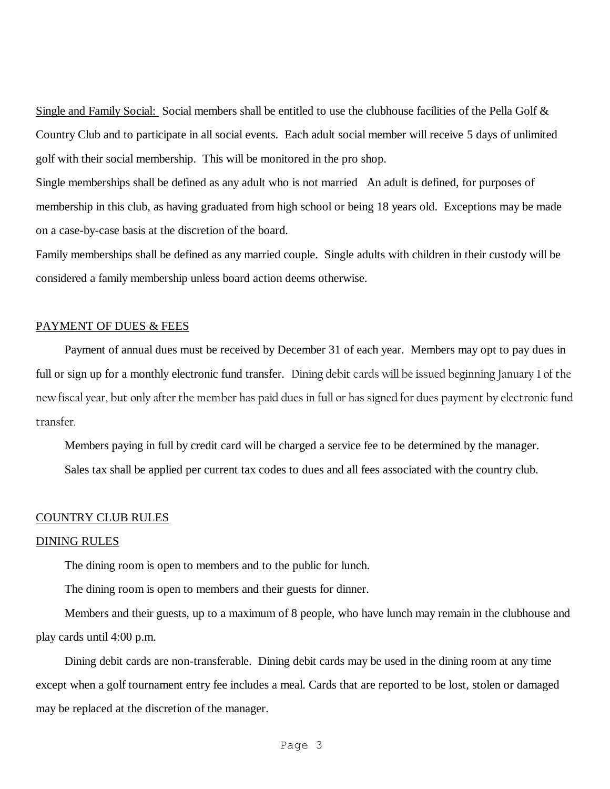Single and Family Social: Social members shall be entitled to use the clubhouse facilities of the Pella Golf & Country Club and to participate in all social events. Each adult social member will receive 5 days of unlimited golf with their social membership. This will be monitored in the pro shop.

Single memberships shall be defined as any adult who is not married An adult is defined, for purposes of membership in this club, as having graduated from high school or being 18 years old. Exceptions may be made on a case-by-case basis at the discretion of the board.

Family memberships shall be defined as any married couple. Single adults with children in their custody will be considered a family membership unless board action deems otherwise.

# PAYMENT OF DUES & FEES

Payment of annual dues must be received by December 31 of each year. Members may opt to pay dues in full or sign up for a monthly electronic fund transfer. Dining debit cards will be issued beginning January 1 of the new fiscal year, but only after the member has paid dues in full or has signed for dues payment by electronic fund transfer.

Members paying in full by credit card will be charged a service fee to be determined by the manager.

Sales tax shall be applied per current tax codes to dues and all fees associated with the country club.

#### COUNTRY CLUB RULES

### DINING RULES

The dining room is open to members and to the public for lunch.

The dining room is open to members and their guests for dinner.

Members and their guests, up to a maximum of 8 people, who have lunch may remain in the clubhouse and play cards until 4:00 p.m.

Dining debit cards are non-transferable. Dining debit cards may be used in the dining room at any time except when a golf tournament entry fee includes a meal. Cards that are reported to be lost, stolen or damaged may be replaced at the discretion of the manager.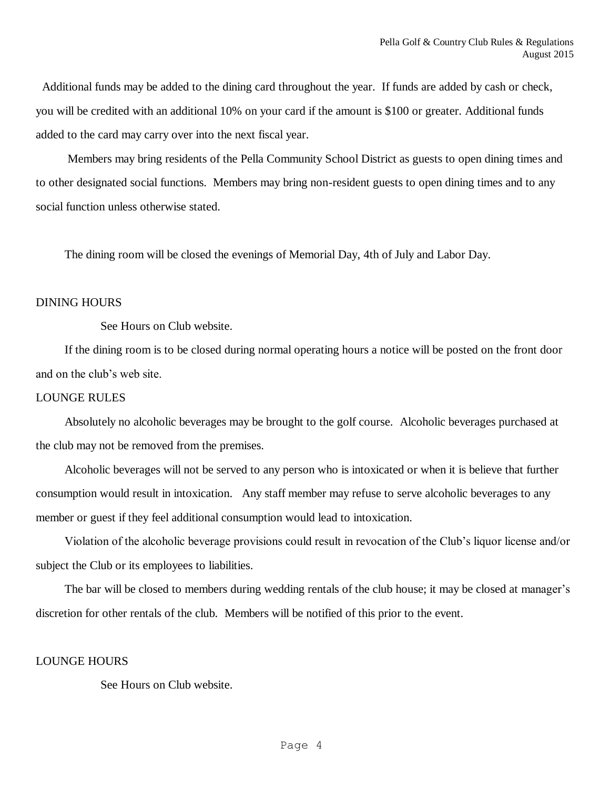Additional funds may be added to the dining card throughout the year. If funds are added by cash or check, you will be credited with an additional 10% on your card if the amount is \$100 or greater. Additional funds added to the card may carry over into the next fiscal year.

Members may bring residents of the Pella Community School District as guests to open dining times and to other designated social functions. Members may bring non-resident guests to open dining times and to any social function unless otherwise stated.

The dining room will be closed the evenings of Memorial Day, 4th of July and Labor Day.

## DINING HOURS

See Hours on Club website.

If the dining room is to be closed during normal operating hours a notice will be posted on the front door and on the club's web site.

### LOUNGE RULES

Absolutely no alcoholic beverages may be brought to the golf course. Alcoholic beverages purchased at the club may not be removed from the premises.

Alcoholic beverages will not be served to any person who is intoxicated or when it is believe that further consumption would result in intoxication. Any staff member may refuse to serve alcoholic beverages to any member or guest if they feel additional consumption would lead to intoxication.

Violation of the alcoholic beverage provisions could result in revocation of the Club's liquor license and/or subject the Club or its employees to liabilities.

The bar will be closed to members during wedding rentals of the club house; it may be closed at manager's discretion for other rentals of the club. Members will be notified of this prior to the event.

### LOUNGE HOURS

See Hours on Club website.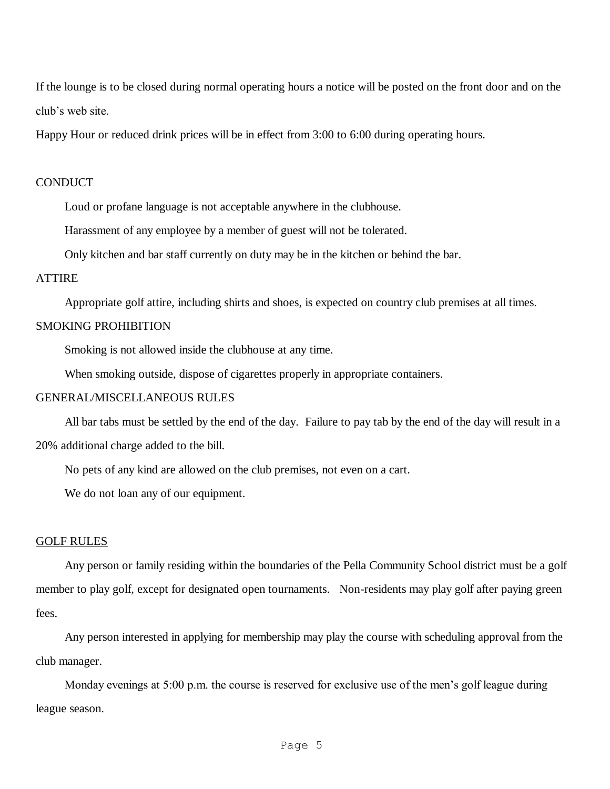If the lounge is to be closed during normal operating hours a notice will be posted on the front door and on the club's web site.

Happy Hour or reduced drink prices will be in effect from 3:00 to 6:00 during operating hours.

## **CONDUCT**

Loud or profane language is not acceptable anywhere in the clubhouse.

Harassment of any employee by a member of guest will not be tolerated.

Only kitchen and bar staff currently on duty may be in the kitchen or behind the bar.

# ATTIRE

Appropriate golf attire, including shirts and shoes, is expected on country club premises at all times.

# SMOKING PROHIBITION

Smoking is not allowed inside the clubhouse at any time.

When smoking outside, dispose of cigarettes properly in appropriate containers.

### GENERAL/MISCELLANEOUS RULES

All bar tabs must be settled by the end of the day. Failure to pay tab by the end of the day will result in a 20% additional charge added to the bill.

No pets of any kind are allowed on the club premises, not even on a cart.

We do not loan any of our equipment.

### GOLF RULES

Any person or family residing within the boundaries of the Pella Community School district must be a golf member to play golf, except for designated open tournaments. Non-residents may play golf after paying green fees.

Any person interested in applying for membership may play the course with scheduling approval from the club manager.

Monday evenings at 5:00 p.m. the course is reserved for exclusive use of the men's golf league during league season.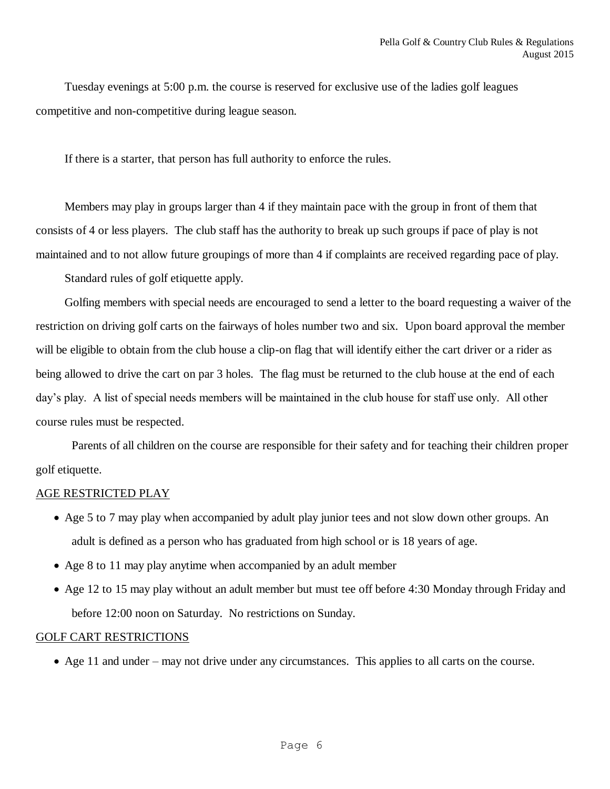Tuesday evenings at 5:00 p.m. the course is reserved for exclusive use of the ladies golf leagues competitive and non-competitive during league season.

If there is a starter, that person has full authority to enforce the rules.

Members may play in groups larger than 4 if they maintain pace with the group in front of them that consists of 4 or less players. The club staff has the authority to break up such groups if pace of play is not maintained and to not allow future groupings of more than 4 if complaints are received regarding pace of play.

Standard rules of golf etiquette apply.

Golfing members with special needs are encouraged to send a letter to the board requesting a waiver of the restriction on driving golf carts on the fairways of holes number two and six. Upon board approval the member will be eligible to obtain from the club house a clip-on flag that will identify either the cart driver or a rider as being allowed to drive the cart on par 3 holes. The flag must be returned to the club house at the end of each day's play. A list of special needs members will be maintained in the club house for staff use only. All other course rules must be respected.

Parents of all children on the course are responsible for their safety and for teaching their children proper golf etiquette.

# AGE RESTRICTED PLAY

- Age 5 to 7 may play when accompanied by adult play junior tees and not slow down other groups. An adult is defined as a person who has graduated from high school or is 18 years of age.
- Age 8 to 11 may play anytime when accompanied by an adult member
- Age 12 to 15 may play without an adult member but must tee off before 4:30 Monday through Friday and before 12:00 noon on Saturday. No restrictions on Sunday.

## GOLF CART RESTRICTIONS

Age 11 and under – may not drive under any circumstances. This applies to all carts on the course.